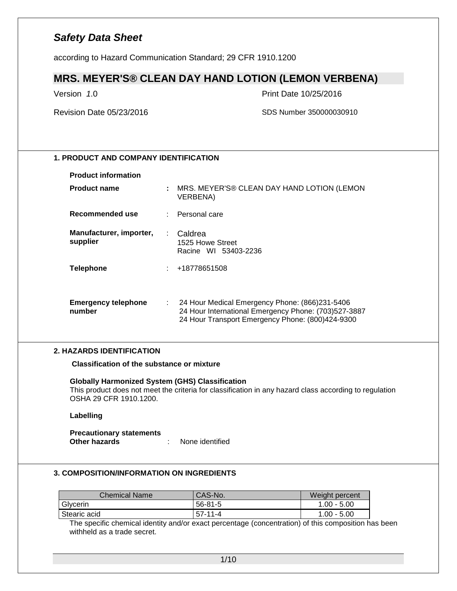according to Hazard Communication Standard; 29 CFR 1910.1200

### **MRS. MEYER'S® CLEAN DAY HAND LOTION (LEMON VERBENA)**

Version *1*.0 Print Date 10/25/2016

Revision Date 05/23/2016 SDS Number 350000030910

### **1. PRODUCT AND COMPANY IDENTIFICATION**

#### **Product information**

| <b>Product name</b>                  |     | : MRS. MEYER'S® CLEAN DAY HAND LOTION (LEMON<br>VERBENA)                                                                                                   |
|--------------------------------------|-----|------------------------------------------------------------------------------------------------------------------------------------------------------------|
| Recommended use                      |     | : Personal care                                                                                                                                            |
| Manufacturer, importer,<br>supplier  | ÷.  | Caldrea<br>1525 Howe Street<br>Racine WI 53403-2236                                                                                                        |
| <b>Telephone</b>                     |     | : +18778651508                                                                                                                                             |
| <b>Emergency telephone</b><br>number | t i | 24 Hour Medical Emergency Phone: (866)231-5406<br>24 Hour International Emergency Phone: (703)527-3887<br>24 Hour Transport Emergency Phone: (800)424-9300 |

#### **2. HAZARDS IDENTIFICATION**

**Classification of the substance or mixture**

**Globally Harmonized System (GHS) Classification**

This product does not meet the criteria for classification in any hazard class according to regulation OSHA 29 CFR 1910.1200.

#### **Labelling**

#### **Precautionary statements Other hazards** : None identified

#### **3. COMPOSITION/INFORMATION ON INGREDIENTS**

| Chemical Name | 'CAS-No.      | Weight percent |
|---------------|---------------|----------------|
| Glycerin      | $56 - 81 - 5$ | $1.00 - 5.00$  |
| Stearic acid  | $57-11-4$     | $1.00 - 5.00$  |

The specific chemical identity and/or exact percentage (concentration) of this composition has been withheld as a trade secret.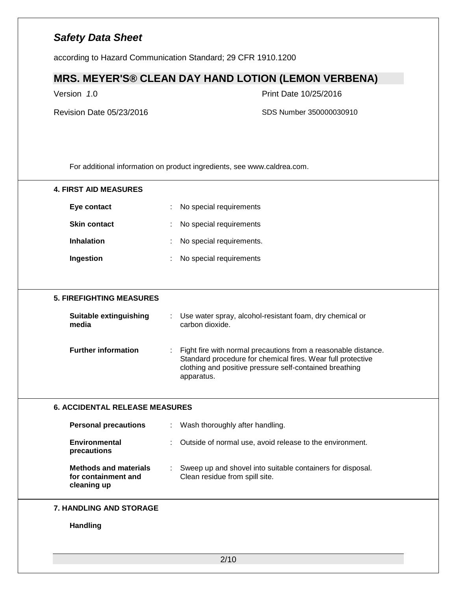according to Hazard Communication Standard; 29 CFR 1910.1200

### **MRS. MEYER'S® CLEAN DAY HAND LOTION (LEMON VERBENA)**

Version *1*.0 Print Date 10/25/2016

Revision Date 05/23/2016 SDS Number 350000030910

For additional information on product ingredients, see www.caldrea.com.

| <b>4. FIRST AID MEASURES</b>                                       |                                                                                                                                                                                                        |
|--------------------------------------------------------------------|--------------------------------------------------------------------------------------------------------------------------------------------------------------------------------------------------------|
| Eye contact                                                        | No special requirements<br>÷                                                                                                                                                                           |
| <b>Skin contact</b>                                                | No special requirements                                                                                                                                                                                |
| <b>Inhalation</b>                                                  | No special requirements.                                                                                                                                                                               |
| Ingestion                                                          | No special requirements                                                                                                                                                                                |
|                                                                    |                                                                                                                                                                                                        |
| <b>5. FIREFIGHTING MEASURES</b>                                    |                                                                                                                                                                                                        |
| <b>Suitable extinguishing</b><br>media                             | Use water spray, alcohol-resistant foam, dry chemical or<br>carbon dioxide.                                                                                                                            |
| <b>Further information</b>                                         | Fight fire with normal precautions from a reasonable distance.<br>Standard procedure for chemical fires. Wear full protective<br>clothing and positive pressure self-contained breathing<br>apparatus. |
| <b>6. ACCIDENTAL RELEASE MEASURES</b>                              |                                                                                                                                                                                                        |
| <b>Personal precautions</b>                                        | Wash thoroughly after handling.<br>$\mathbb{Z}^n$ .                                                                                                                                                    |
| <b>Environmental</b><br>precautions                                | Outside of normal use, avoid release to the environment.                                                                                                                                               |
| <b>Methods and materials</b><br>for containment and<br>cleaning up | : Sweep up and shovel into suitable containers for disposal.<br>Clean residue from spill site.                                                                                                         |
|                                                                    |                                                                                                                                                                                                        |
| 7. HANDLING AND STORAGE                                            |                                                                                                                                                                                                        |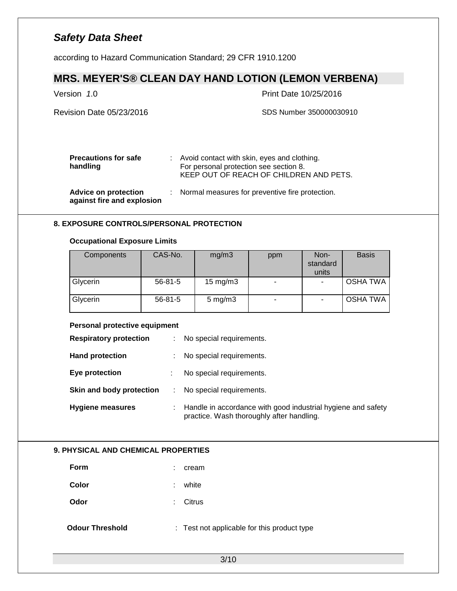according to Hazard Communication Standard; 29 CFR 1910.1200

# **MRS. MEYER'S® CLEAN DAY HAND LOTION (LEMON VERBENA)**

| Version 1.0                                        | Print Date 10/25/2016                                                                                                              |
|----------------------------------------------------|------------------------------------------------------------------------------------------------------------------------------------|
| Revision Date 05/23/2016                           | SDS Number 350000030910                                                                                                            |
| <b>Precautions for safe</b><br>handling            | : Avoid contact with skin, eyes and clothing.<br>For personal protection see section 8.<br>KEEP OUT OF REACH OF CHILDREN AND PETS. |
| Advice on protection<br>against fire and explosion | : Normal measures for preventive fire protection.                                                                                  |

### **8. EXPOSURE CONTROLS/PERSONAL PROTECTION**

### **Occupational Exposure Limits**

| Components | CAS-No.       | mg/m3              | ppm | Non-<br>standard<br>units | <b>Basis</b>    |
|------------|---------------|--------------------|-----|---------------------------|-----------------|
| Glycerin   | $56 - 81 - 5$ | $15 \text{ mg/m}$  | ۰   |                           | <b>OSHA TWA</b> |
| Glycerin   | $56 - 81 - 5$ | $5 \text{ mg/m}$ 3 | ۰   | -                         | <b>OSHA TWA</b> |

### **Personal protective equipment**

| <b>Respiratory protection</b> | ÷  | No special requirements.                                                                                  |
|-------------------------------|----|-----------------------------------------------------------------------------------------------------------|
| <b>Hand protection</b>        | ÷. | No special requirements.                                                                                  |
| Eye protection                | ÷  | No special requirements.                                                                                  |
| Skin and body protection      |    | No special requirements.                                                                                  |
| <b>Hygiene measures</b>       |    | Handle in accordance with good industrial hygiene and safety<br>practice. Wash thoroughly after handling. |

#### **9. PHYSICAL AND CHEMICAL PROPERTIES**

| <b>Form</b>            | cream                                       |
|------------------------|---------------------------------------------|
| Color                  | white<br>÷.                                 |
| Odor                   | Citrus<br>t.                                |
| <b>Odour Threshold</b> | : Test not applicable for this product type |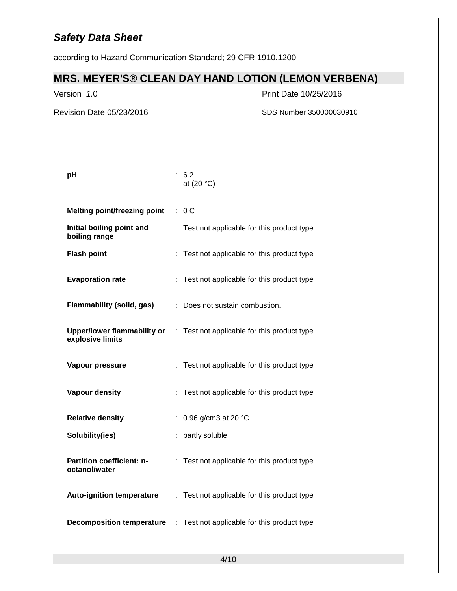according to Hazard Communication Standard; 29 CFR 1910.1200

### **MRS. MEYER'S® CLEAN DAY HAND LOTION (LEMON VERBENA)**

Version *1*.0 Print Date 10/25/2016

**pH** : 6.2

Revision Date 05/23/2016 SDS Number 350000030910

|                                                   | at $(20 °C)$                                                                   |
|---------------------------------------------------|--------------------------------------------------------------------------------|
| <b>Melting point/freezing point</b>               | : 0C                                                                           |
| Initial boiling point and<br>boiling range        | Test not applicable for this product type                                      |
| <b>Flash point</b>                                | Test not applicable for this product type                                      |
| <b>Evaporation rate</b>                           | Test not applicable for this product type                                      |
| <b>Flammability (solid, gas)</b>                  | Does not sustain combustion.                                                   |
| explosive limits                                  | <b>Upper/lower flammability or</b> : Test not applicable for this product type |
| Vapour pressure                                   | : Test not applicable for this product type                                    |
| <b>Vapour density</b>                             | : Test not applicable for this product type                                    |
| <b>Relative density</b>                           | 0.96 g/cm3 at 20 °C                                                            |
| Solubility(ies)                                   | partly soluble                                                                 |
| <b>Partition coefficient: n-</b><br>octanol/water | Test not applicable for this product type                                      |
| <b>Auto-ignition temperature</b>                  | : Test not applicable for this product type                                    |
| <b>Decomposition temperature</b>                  | : Test not applicable for this product type                                    |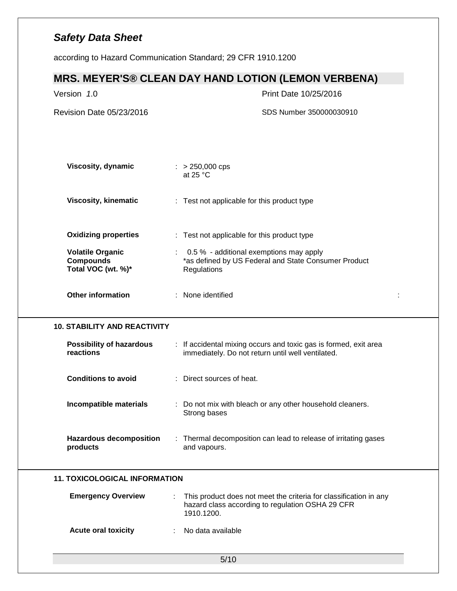according to Hazard Communication Standard; 29 CFR 1910.1200

# **MRS. MEYER'S® CLEAN DAY HAND LOTION (LEMON VERBENA)**

| Revision Date 05/23/2016<br>SDS Number 350000030910<br>Viscosity, dynamic<br>$: > 250,000$ cps<br>at 25 $°C$<br><b>Viscosity, kinematic</b><br>: Test not applicable for this product type<br><b>Oxidizing properties</b><br>: Test not applicable for this product type<br><b>Volatile Organic</b><br>0.5 % - additional exemptions may apply<br>*as defined by US Federal and State Consumer Product<br><b>Compounds</b><br>Total VOC (wt. %)*<br>Regulations<br><b>Other information</b><br>: None identified<br><b>10. STABILITY AND REACTIVITY</b><br>: If accidental mixing occurs and toxic gas is formed, exit area<br>Possibility of hazardous<br>reactions<br>immediately. Do not return until well ventilated.<br><b>Conditions to avoid</b><br>: Direct sources of heat.<br>Incompatible materials<br>: Do not mix with bleach or any other household cleaners.<br>Strong bases<br><b>Hazardous decomposition</b><br>: Thermal decomposition can lead to release of irritating gases<br>products<br>and vapours.<br><b>11. TOXICOLOGICAL INFORMATION</b><br><b>Emergency Overview</b><br>This product does not meet the criteria for classification in any<br>hazard class according to regulation OSHA 29 CFR<br>1910.1200.<br><b>Acute oral toxicity</b><br>No data available<br>÷. | Version 1.0 | Print Date 10/25/2016 |
|---------------------------------------------------------------------------------------------------------------------------------------------------------------------------------------------------------------------------------------------------------------------------------------------------------------------------------------------------------------------------------------------------------------------------------------------------------------------------------------------------------------------------------------------------------------------------------------------------------------------------------------------------------------------------------------------------------------------------------------------------------------------------------------------------------------------------------------------------------------------------------------------------------------------------------------------------------------------------------------------------------------------------------------------------------------------------------------------------------------------------------------------------------------------------------------------------------------------------------------------------------------------------------------------------|-------------|-----------------------|
|                                                                                                                                                                                                                                                                                                                                                                                                                                                                                                                                                                                                                                                                                                                                                                                                                                                                                                                                                                                                                                                                                                                                                                                                                                                                                                   |             |                       |
|                                                                                                                                                                                                                                                                                                                                                                                                                                                                                                                                                                                                                                                                                                                                                                                                                                                                                                                                                                                                                                                                                                                                                                                                                                                                                                   |             |                       |
|                                                                                                                                                                                                                                                                                                                                                                                                                                                                                                                                                                                                                                                                                                                                                                                                                                                                                                                                                                                                                                                                                                                                                                                                                                                                                                   |             |                       |
|                                                                                                                                                                                                                                                                                                                                                                                                                                                                                                                                                                                                                                                                                                                                                                                                                                                                                                                                                                                                                                                                                                                                                                                                                                                                                                   |             |                       |
|                                                                                                                                                                                                                                                                                                                                                                                                                                                                                                                                                                                                                                                                                                                                                                                                                                                                                                                                                                                                                                                                                                                                                                                                                                                                                                   |             |                       |
|                                                                                                                                                                                                                                                                                                                                                                                                                                                                                                                                                                                                                                                                                                                                                                                                                                                                                                                                                                                                                                                                                                                                                                                                                                                                                                   |             |                       |
|                                                                                                                                                                                                                                                                                                                                                                                                                                                                                                                                                                                                                                                                                                                                                                                                                                                                                                                                                                                                                                                                                                                                                                                                                                                                                                   |             |                       |
|                                                                                                                                                                                                                                                                                                                                                                                                                                                                                                                                                                                                                                                                                                                                                                                                                                                                                                                                                                                                                                                                                                                                                                                                                                                                                                   |             |                       |
|                                                                                                                                                                                                                                                                                                                                                                                                                                                                                                                                                                                                                                                                                                                                                                                                                                                                                                                                                                                                                                                                                                                                                                                                                                                                                                   |             |                       |
|                                                                                                                                                                                                                                                                                                                                                                                                                                                                                                                                                                                                                                                                                                                                                                                                                                                                                                                                                                                                                                                                                                                                                                                                                                                                                                   |             |                       |
|                                                                                                                                                                                                                                                                                                                                                                                                                                                                                                                                                                                                                                                                                                                                                                                                                                                                                                                                                                                                                                                                                                                                                                                                                                                                                                   |             |                       |
|                                                                                                                                                                                                                                                                                                                                                                                                                                                                                                                                                                                                                                                                                                                                                                                                                                                                                                                                                                                                                                                                                                                                                                                                                                                                                                   |             |                       |
|                                                                                                                                                                                                                                                                                                                                                                                                                                                                                                                                                                                                                                                                                                                                                                                                                                                                                                                                                                                                                                                                                                                                                                                                                                                                                                   |             |                       |
|                                                                                                                                                                                                                                                                                                                                                                                                                                                                                                                                                                                                                                                                                                                                                                                                                                                                                                                                                                                                                                                                                                                                                                                                                                                                                                   |             |                       |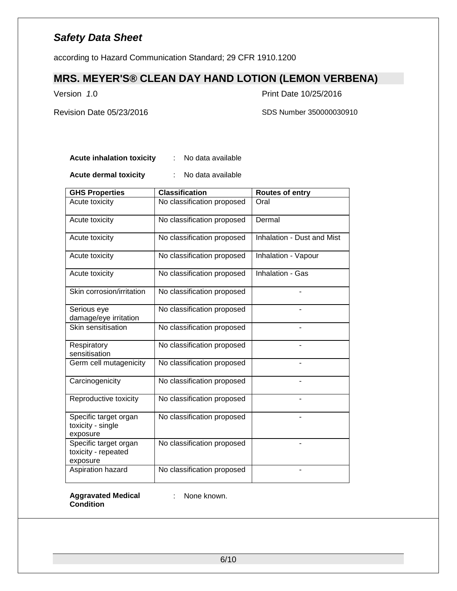according to Hazard Communication Standard; 29 CFR 1910.1200

### **MRS. MEYER'S® CLEAN DAY HAND LOTION (LEMON VERBENA)**

Version *1*.0 Print Date 10/25/2016

Revision Date 05/23/2016 SDS Number 350000030910

**Acute inhalation toxicity** : No data available

**Acute dermal toxicity** : No data available

| <b>GHS Properties</b>                                    | <b>Classification</b>      | Routes of entry                   |
|----------------------------------------------------------|----------------------------|-----------------------------------|
| Acute toxicity                                           | No classification proposed | Oral                              |
| Acute toxicity                                           | No classification proposed | Dermal                            |
| Acute toxicity                                           | No classification proposed | <b>Inhalation - Dust and Mist</b> |
| Acute toxicity                                           | No classification proposed | Inhalation - Vapour               |
| Acute toxicity                                           | No classification proposed | Inhalation - Gas                  |
| Skin corrosion/irritation                                | No classification proposed |                                   |
| Serious eye<br>damage/eye irritation                     | No classification proposed |                                   |
| Skin sensitisation                                       | No classification proposed |                                   |
| Respiratory<br>sensitisation                             | No classification proposed |                                   |
| Germ cell mutagenicity                                   | No classification proposed |                                   |
| Carcinogenicity                                          | No classification proposed |                                   |
| Reproductive toxicity                                    | No classification proposed |                                   |
| Specific target organ<br>toxicity - single<br>exposure   | No classification proposed |                                   |
| Specific target organ<br>toxicity - repeated<br>exposure | No classification proposed |                                   |
| Aspiration hazard                                        | No classification proposed |                                   |

#### **Aggravated Medical Condition**

: None known.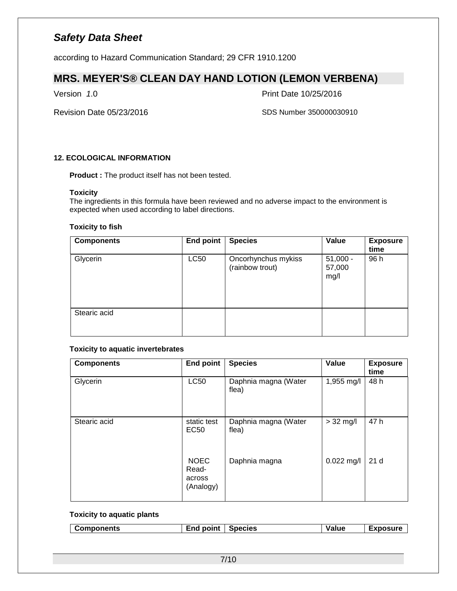according to Hazard Communication Standard; 29 CFR 1910.1200

### **MRS. MEYER'S® CLEAN DAY HAND LOTION (LEMON VERBENA)**

Version *1*.0 Print Date 10/25/2016

Revision Date 05/23/2016 SDS Number 350000030910

### **12. ECOLOGICAL INFORMATION**

**Product :** The product itself has not been tested.

#### **Toxicity**

The ingredients in this formula have been reviewed and no adverse impact to the environment is expected when used according to label directions.

#### **Toxicity to fish**

| <b>Components</b> | <b>End point</b> | <b>Species</b>                         | Value                        | <b>Exposure</b><br>time |
|-------------------|------------------|----------------------------------------|------------------------------|-------------------------|
| Glycerin          | <b>LC50</b>      | Oncorhynchus mykiss<br>(rainbow trout) | $51,000 -$<br>57,000<br>mg/l | 96 h                    |
| Stearic acid      |                  |                                        |                              |                         |

### **Toxicity to aquatic invertebrates**

| <b>Components</b> | <b>End point</b>                            | <b>Species</b>                | Value        | <b>Exposure</b><br>time |
|-------------------|---------------------------------------------|-------------------------------|--------------|-------------------------|
| Glycerin          | <b>LC50</b>                                 | Daphnia magna (Water<br>flea) | 1,955 mg/l   | 48 h                    |
| Stearic acid      | static test<br>EC50                         | Daphnia magna (Water<br>flea) | $> 32$ mg/l  | 47 h                    |
|                   | <b>NOEC</b><br>Read-<br>across<br>(Analogy) | Daphnia magna                 | $0.022$ mg/l | 21 <sub>d</sub>         |

#### **Toxicity to aquatic plants**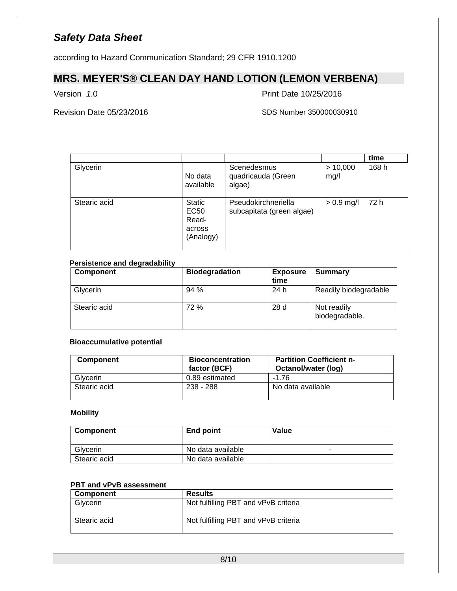according to Hazard Communication Standard; 29 CFR 1910.1200

### **MRS. MEYER'S® CLEAN DAY HAND LOTION (LEMON VERBENA)**

Version *1*.0 Print Date 10/25/2016

Revision Date 05/23/2016 SDS Number 350000030910

|              |                                                       |                                                  |                  | time  |
|--------------|-------------------------------------------------------|--------------------------------------------------|------------------|-------|
| Glycerin     | No data<br>available                                  | Scenedesmus<br>quadricauda (Green<br>algae)      | > 10,000<br>mg/l | 168 h |
| Stearic acid | <b>Static</b><br>EC50<br>Read-<br>across<br>(Analogy) | Pseudokirchneriella<br>subcapitata (green algae) | $> 0.9$ mg/l     | 72 h  |

### **Persistence and degradability**

| <b>Component</b> | <b>Biodegradation</b> | <b>Exposure</b><br>time | <b>Summary</b>                |
|------------------|-----------------------|-------------------------|-------------------------------|
| Glycerin         | 94 %                  | 24 h                    | Readily biodegradable         |
| Stearic acid     | 72 %                  | 28 d                    | Not readily<br>biodegradable. |

#### **Bioaccumulative potential**

| <b>Component</b> | <b>Bioconcentration</b><br>factor (BCF) | <b>Partition Coefficient n-</b><br>Octanol/water (log) |
|------------------|-----------------------------------------|--------------------------------------------------------|
| Glvcerin         | 0.89 estimated                          | $-1.76$                                                |
| Stearic acid     | $238 - 288$                             | No data available                                      |

#### **Mobility**

| Component    | End point         | Value |
|--------------|-------------------|-------|
| Glycerin     | No data available | -     |
| Stearic acid | No data available |       |

### **PBT and vPvB assessment**

| Component    | <b>Results</b>                       |
|--------------|--------------------------------------|
| Glycerin     | Not fulfilling PBT and vPvB criteria |
| Stearic acid | Not fulfilling PBT and vPvB criteria |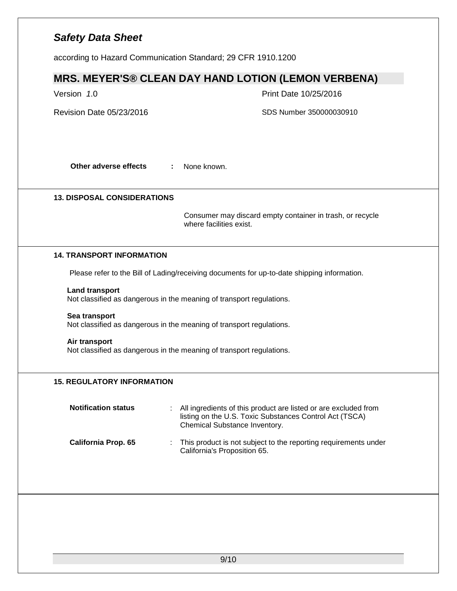according to Hazard Communication Standard; 29 CFR 1910.1200

## **MRS. MEYER'S® CLEAN DAY HAND LOTION (LEMON VERBENA)**

| Version 1.0                        | Print Date 10/25/2016                                                                                                                                       |
|------------------------------------|-------------------------------------------------------------------------------------------------------------------------------------------------------------|
| Revision Date 05/23/2016           | SDS Number 350000030910                                                                                                                                     |
| Other adverse effects              | None known.<br>÷                                                                                                                                            |
| <b>13. DISPOSAL CONSIDERATIONS</b> |                                                                                                                                                             |
|                                    | Consumer may discard empty container in trash, or recycle<br>where facilities exist.                                                                        |
| <b>14. TRANSPORT INFORMATION</b>   |                                                                                                                                                             |
|                                    | Please refer to the Bill of Lading/receiving documents for up-to-date shipping information.                                                                 |
| <b>Land transport</b>              | Not classified as dangerous in the meaning of transport regulations.                                                                                        |
| Sea transport                      | Not classified as dangerous in the meaning of transport regulations.                                                                                        |
| Air transport                      | Not classified as dangerous in the meaning of transport regulations.                                                                                        |
| <b>15. REGULATORY INFORMATION</b>  |                                                                                                                                                             |
| <b>Notification status</b>         | All ingredients of this product are listed or are excluded from<br>listing on the U.S. Toxic Substances Control Act (TSCA)<br>Chemical Substance Inventory. |
|                                    | This product is not subject to the reporting requirements under                                                                                             |
| California Prop. 65                | California's Proposition 65.                                                                                                                                |
|                                    |                                                                                                                                                             |
|                                    |                                                                                                                                                             |